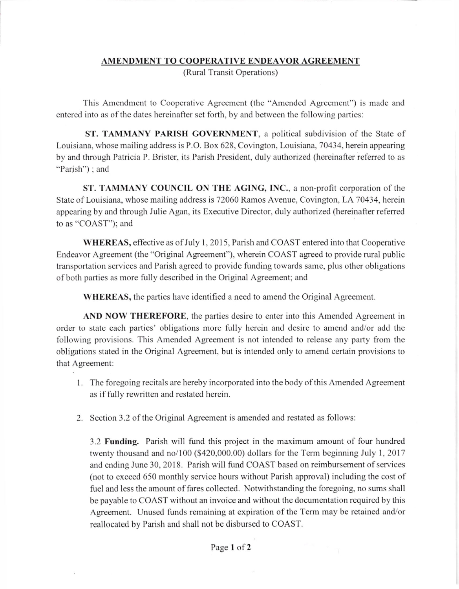## AMENDMENT TO COOPERATIVE ENDEAVOR AGREEMENT

(Rural Transit Operations)

This Amendment to Cooperative Agreement (the "Amended Agreemcnt") is made and entered into as of the dates hereinafter set forth, by and between the following parties:

ST. TAMMANY PARISH GOVERNMENT, a political subdivision of the State of Louisiana, whose mailing address is P.O. Box 628, Covington, Louisiana, 70434, herein appearing by and through Patricia P. Brister, its Parish President, duly authorized (hereinafter referred to as "Parish") ; and

ST. TAMMANY COUNCIL ON THE AGING, INC., a non-profit corporation of the State of Louisiana, whose mailing address is 72060 Ramos Avenue, Covington, LA 70434, herein appearing by and through Julie Agan, its Executive Director, duly authorized (hereinafter referrcd to as "COAST"); and

WHEREAS, effective as of July l, 2015, Parish and COAST entered into that Cooperative Endeavor Agreement (the "Original Agreement"), wherein COAST agreed to provide rural public transportation services and Parish agreed to provide funding towards same, plus other obligations of both parties as more fully described in the Original Agreement; and

WHEREAS, the parties have identified a need to amend the Original Agreement.

AND NOW THEREFORE, the parties desire to enter into this Amended Agreement in order to state each parties' obligations more fully herein and desire to amend and/or add the following provisions. This Amended Agreement is not intended to release any party from the obligations stated in the Original Agreement, but is intended only to amend certain provisions to that Agreement:

- <sup>I</sup>. The foregoing recitals are hereby incorporated into the body of this Amended Agreement as if fully rewritten and restated herein.
- 2. Section 3.2 of the Original Agreement is amended and restated as follows:

3.2 Funding. Parish will fund this project in the maximum amount of four hundred twenty thousand and no/ $100$  (\$420,000.00) dollars for the Term beginning July 1, 2017 and ending June 30, 2018. Parish will fund COAST based on reimbursement of services (not to exceed 650 monthly service hours without Parish approval) including the cost of fuel and less the amount of fares collected. Notwithstanding the foregoing, no sums shall bc payable to COAST without an invoice and without the documentation required by this Agreement. Unused funds remaining at expiration of the Term may be retained and/or reallocated by Parish and shall not be disbursed to COAST.